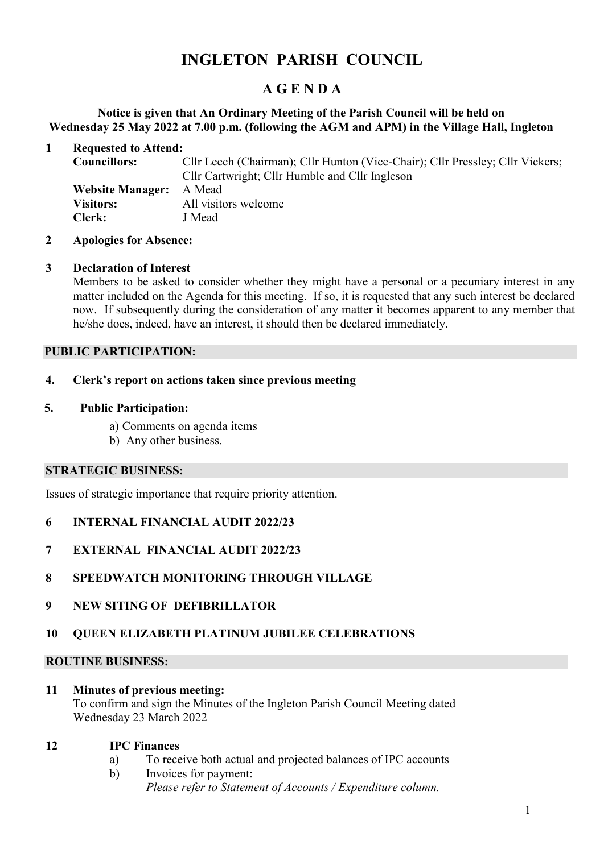# **INGLETON PARISH COUNCIL**

## **A G E N D A**

## **Notice is given that An Ordinary Meeting of the Parish Council will be held on Wednesday 25 May 2022 at 7.00 p.m. (following the AGM and APM) in the Village Hall, Ingleton**

| <b>Requested to Attend:</b> |                                                                               |
|-----------------------------|-------------------------------------------------------------------------------|
| <b>Councillors:</b>         | Cllr Leech (Chairman); Cllr Hunton (Vice-Chair); Cllr Pressley; Cllr Vickers; |
|                             | Cllr Cartwright; Cllr Humble and Cllr Ingleson                                |
| <b>Website Manager:</b>     | A Mead                                                                        |
| <b>Visitors:</b>            | All visitors welcome                                                          |
| <b>Clerk:</b>               | J Mead                                                                        |
|                             |                                                                               |

#### **2 Apologies for Absence:**

#### **3 Declaration of Interest**

Members to be asked to consider whether they might have a personal or a pecuniary interest in any matter included on the Agenda for this meeting. If so, it is requested that any such interest be declared now. If subsequently during the consideration of any matter it becomes apparent to any member that he/she does, indeed, have an interest, it should then be declared immediately.

## **PUBLIC PARTICIPATION:**

#### **4. Clerk's report on actions taken since previous meeting**

#### **5. Public Participation:**

- a) Comments on agenda items
- b) Any other business.

#### **STRATEGIC BUSINESS:**

Issues of strategic importance that require priority attention.

- **6 INTERNAL FINANCIAL AUDIT 2022/23**
- **7 EXTERNAL FINANCIAL AUDIT 2022/23**
- **8 SPEEDWATCH MONITORING THROUGH VILLAGE**
- **9 NEW SITING OF DEFIBRILLATOR**

## **10 QUEEN ELIZABETH PLATINUM JUBILEE CELEBRATIONS**

## **ROUTINE BUSINESS:**

#### **11 Minutes of previous meeting:**

To confirm and sign the Minutes of the Ingleton Parish Council Meeting dated Wednesday 23 March 2022

#### **12 IPC Finances**

- a) To receive both actual and projected balances of IPC accounts
- b) Invoices for payment: *Please refer to Statement of Accounts / Expenditure column.*